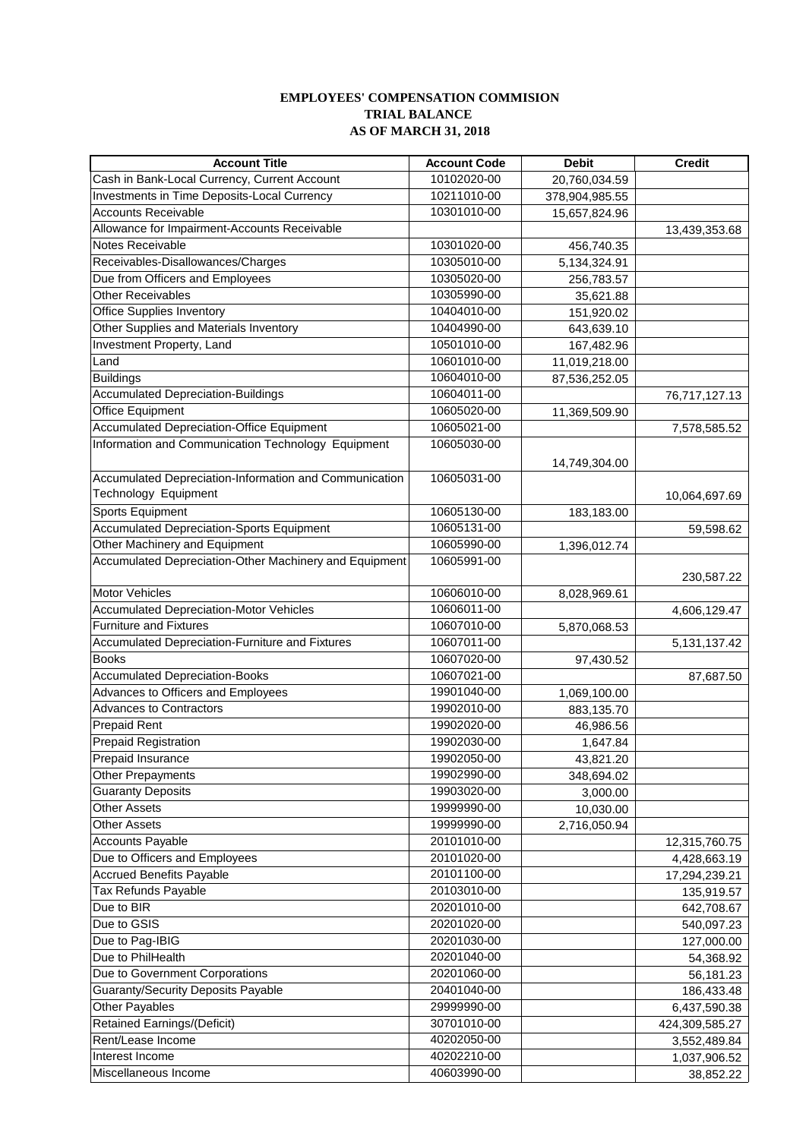## **EMPLOYEES' COMPENSATION COMMISION TRIAL BALANCE AS OF MARCH 31, 2018**

| <b>Account Title</b>                                   | <b>Account Code</b> | <b>Debit</b>   | <b>Credit</b>   |
|--------------------------------------------------------|---------------------|----------------|-----------------|
| Cash in Bank-Local Currency, Current Account           | 10102020-00         | 20,760,034.59  |                 |
| Investments in Time Deposits-Local Currency            | 10211010-00         | 378,904,985.55 |                 |
| <b>Accounts Receivable</b>                             | 10301010-00         | 15,657,824.96  |                 |
| Allowance for Impairment-Accounts Receivable           |                     |                | 13,439,353.68   |
| Notes Receivable                                       | 10301020-00         | 456,740.35     |                 |
| Receivables-Disallowances/Charges                      | 10305010-00         | 5,134,324.91   |                 |
| Due from Officers and Employees                        | 10305020-00         | 256,783.57     |                 |
| <b>Other Receivables</b>                               | 10305990-00         | 35,621.88      |                 |
| <b>Office Supplies Inventory</b>                       | 10404010-00         | 151,920.02     |                 |
| Other Supplies and Materials Inventory                 | 10404990-00         | 643,639.10     |                 |
| <b>Investment Property, Land</b>                       | 10501010-00         | 167,482.96     |                 |
| Land                                                   | 10601010-00         | 11,019,218.00  |                 |
| <b>Buildings</b>                                       | 10604010-00         | 87,536,252.05  |                 |
| <b>Accumulated Depreciation-Buildings</b>              | 10604011-00         |                | 76,717,127.13   |
| Office Equipment                                       | 10605020-00         | 11,369,509.90  |                 |
| <b>Accumulated Depreciation-Office Equipment</b>       | 10605021-00         |                | 7,578,585.52    |
| Information and Communication Technology Equipment     | 10605030-00         |                |                 |
|                                                        |                     |                |                 |
| Accumulated Depreciation-Information and Communication | 10605031-00         | 14,749,304.00  |                 |
| Technology Equipment                                   |                     |                | 10,064,697.69   |
| Sports Equipment                                       | 10605130-00         | 183,183.00     |                 |
| <b>Accumulated Depreciation-Sports Equipment</b>       | 10605131-00         |                | 59,598.62       |
| Other Machinery and Equipment                          | 10605990-00         | 1,396,012.74   |                 |
| Accumulated Depreciation-Other Machinery and Equipment | 10605991-00         |                |                 |
|                                                        |                     |                | 230,587.22      |
| <b>Motor Vehicles</b>                                  | 10606010-00         | 8,028,969.61   |                 |
| <b>Accumulated Depreciation-Motor Vehicles</b>         | 10606011-00         |                | 4,606,129.47    |
| <b>Furniture and Fixtures</b>                          | 10607010-00         | 5,870,068.53   |                 |
| Accumulated Depreciation-Furniture and Fixtures        | 10607011-00         |                | 5, 131, 137. 42 |
| <b>Books</b>                                           | 10607020-00         | 97,430.52      |                 |
| <b>Accumulated Depreciation-Books</b>                  | 10607021-00         |                | 87,687.50       |
| Advances to Officers and Employees                     | 19901040-00         | 1,069,100.00   |                 |
| <b>Advances to Contractors</b>                         | 19902010-00         | 883,135.70     |                 |
| <b>Prepaid Rent</b>                                    | 19902020-00         | 46,986.56      |                 |
| <b>Prepaid Registration</b>                            | 19902030-00         | 1,647.84       |                 |
| Prepaid Insurance                                      | 19902050-00         | 43,821.20      |                 |
| <b>Other Prepayments</b>                               | 19902990-00         | 348,694.02     |                 |
| <b>Guaranty Deposits</b>                               | 19903020-00         | 3,000.00       |                 |
| <b>Other Assets</b>                                    | 19999990-00         | 10,030.00      |                 |
| <b>Other Assets</b>                                    | 19999990-00         | 2,716,050.94   |                 |
| <b>Accounts Payable</b>                                | 20101010-00         |                | 12,315,760.75   |
| Due to Officers and Employees                          | 20101020-00         |                | 4,428,663.19    |
| <b>Accrued Benefits Payable</b>                        | 20101100-00         |                | 17,294,239.21   |
| Tax Refunds Payable                                    | 20103010-00         |                | 135,919.57      |
| Due to BIR                                             | 20201010-00         |                | 642,708.67      |
| Due to GSIS                                            | 20201020-00         |                | 540,097.23      |
| Due to Pag-IBIG                                        | 20201030-00         |                | 127,000.00      |
| Due to PhilHealth                                      | 20201040-00         |                | 54,368.92       |
| Due to Government Corporations                         | 20201060-00         |                | 56,181.23       |
| <b>Guaranty/Security Deposits Payable</b>              | 20401040-00         |                | 186,433.48      |
| Other Payables                                         | 29999990-00         |                | 6,437,590.38    |
| <b>Retained Earnings/(Deficit)</b>                     | 30701010-00         |                | 424,309,585.27  |
| Rent/Lease Income                                      | 40202050-00         |                | 3,552,489.84    |
| Interest Income                                        | 40202210-00         |                | 1,037,906.52    |
| Miscellaneous Income                                   | 40603990-00         |                | 38,852.22       |